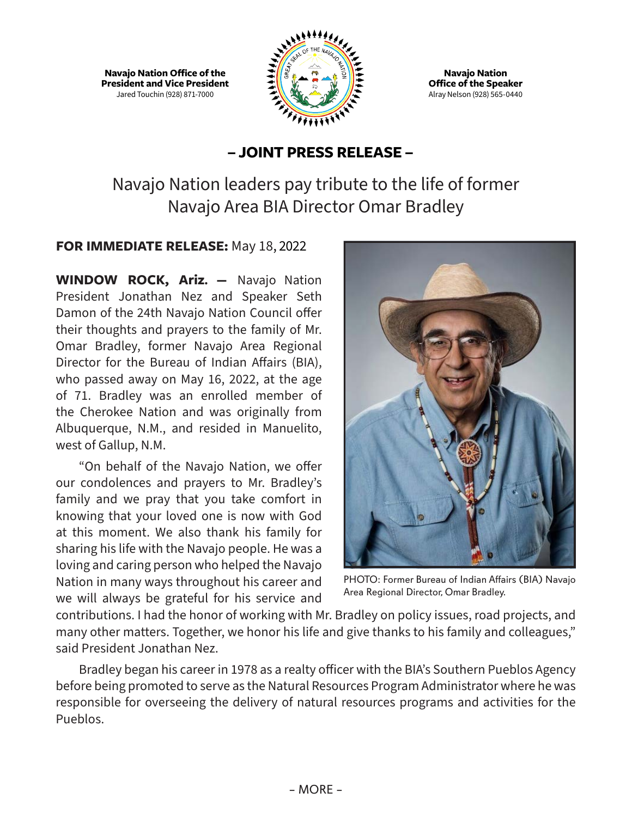**Navajo Nation Office of the President and Vice President** Jared Touchin (928) 871-7000



**Navajo Nation Office of the Speaker** Alray Nelson (928) 565-0440

## **– JOINT PRESS RELEASE –**

Navajo Nation leaders pay tribute to the life of former Navajo Area BIA Director Omar Bradley

## **FOR IMMEDIATE RELEASE:** May 18, 2022

**WINDOW ROCK, Ariz. —** Navajo Nation President Jonathan Nez and Speaker Seth Damon of the 24th Navajo Nation Council offer their thoughts and prayers to the family of Mr. Omar Bradley, former Navajo Area Regional Director for the Bureau of Indian Affairs (BIA), who passed away on May 16, 2022, at the age of 71. Bradley was an enrolled member of the Cherokee Nation and was originally from Albuquerque, N.M., and resided in Manuelito, west of Gallup, N.M.

"On behalf of the Navajo Nation, we offer our condolences and prayers to Mr. Bradley's family and we pray that you take comfort in knowing that your loved one is now with God at this moment. We also thank his family for sharing his life with the Navajo people. He was a loving and caring person who helped the Navajo Nation in many ways throughout his career and we will always be grateful for his service and



PHOTO: Former Bureau of Indian Affairs (BIA) Navajo Area Regional Director, Omar Bradley.

contributions. I had the honor of working with Mr. Bradley on policy issues, road projects, and many other matters. Together, we honor his life and give thanks to his family and colleagues," said President Jonathan Nez.

Bradley began his career in 1978 as a realty officer with the BIA's Southern Pueblos Agency before being promoted to serve as the Natural Resources Program Administrator where he was responsible for overseeing the delivery of natural resources programs and activities for the Pueblos.